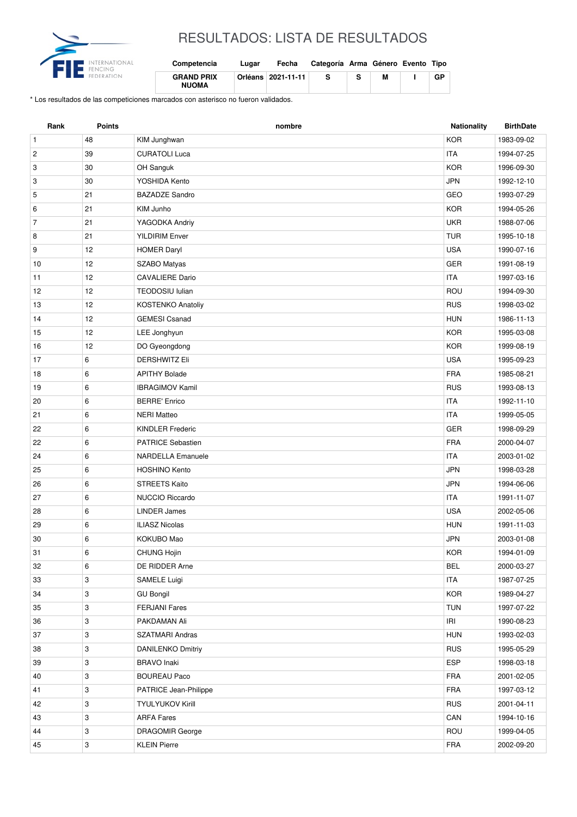

## RESULTADOS: LISTA DE RESULTADOS

| Competencia                       | Lugar | Fecha                | Categoría Arma Género Evento Tipo |   |    |
|-----------------------------------|-------|----------------------|-----------------------------------|---|----|
| <b>GRAND PRIX</b><br><b>NUOMA</b> |       | Orléans   2021-11-11 |                                   | м | GP |

\* Los resultados de las competiciones marcados con asterisco no fueron validados.

| Rank           | <b>Points</b> | nombre                   | <b>Nationality</b> | <b>BirthDate</b> |
|----------------|---------------|--------------------------|--------------------|------------------|
| $\mathbf{1}$   | 48            | KIM Junghwan             | <b>KOR</b>         | 1983-09-02       |
| $\overline{c}$ | 39            | <b>CURATOLI Luca</b>     | <b>ITA</b>         | 1994-07-25       |
| 3              | 30            | OH Sanguk                | <b>KOR</b>         | 1996-09-30       |
| 3              | 30            | YOSHIDA Kento            | <b>JPN</b>         | 1992-12-10       |
| 5              | 21            | <b>BAZADZE Sandro</b>    | GEO                | 1993-07-29       |
| 6              | 21            | KIM Junho                | <b>KOR</b>         | 1994-05-26       |
| $\overline{7}$ | 21            | YAGODKA Andriy           | <b>UKR</b>         | 1988-07-06       |
| 8              | 21            | <b>YILDIRIM Enver</b>    | <b>TUR</b>         | 1995-10-18       |
| 9              | 12            | <b>HOMER Daryl</b>       | <b>USA</b>         | 1990-07-16       |
| 10             | 12            | SZABO Matyas             | <b>GER</b>         | 1991-08-19       |
| 11             | 12            | <b>CAVALIERE Dario</b>   | <b>ITA</b>         | 1997-03-16       |
| 12             | 12            | <b>TEODOSIU Iulian</b>   | ROU                | 1994-09-30       |
| 13             | 12            | <b>KOSTENKO Anatoliy</b> | <b>RUS</b>         | 1998-03-02       |
| 14             | 12            | <b>GEMESI Csanad</b>     | <b>HUN</b>         | 1986-11-13       |
| 15             | 12            | LEE Jonghyun             | <b>KOR</b>         | 1995-03-08       |
| 16             | 12            | DO Gyeongdong            | <b>KOR</b>         | 1999-08-19       |
| 17             | 6             | <b>DERSHWITZ Eli</b>     | <b>USA</b>         | 1995-09-23       |
| 18             | 6             | <b>APITHY Bolade</b>     | <b>FRA</b>         | 1985-08-21       |
| 19             | 6             | <b>IBRAGIMOV Kamil</b>   | <b>RUS</b>         | 1993-08-13       |
| 20             | 6             | <b>BERRE' Enrico</b>     | <b>ITA</b>         | 1992-11-10       |
| 21             | 6             | <b>NERI Matteo</b>       | <b>ITA</b>         | 1999-05-05       |
| 22             | 6             | <b>KINDLER Frederic</b>  | <b>GER</b>         | 1998-09-29       |
| 22             | 6             | <b>PATRICE Sebastien</b> | <b>FRA</b>         | 2000-04-07       |
| 24             | 6             | <b>NARDELLA Emanuele</b> | <b>ITA</b>         | 2003-01-02       |
| 25             | 6             | <b>HOSHINO Kento</b>     | <b>JPN</b>         | 1998-03-28       |
| 26             | 6             | <b>STREETS Kaito</b>     | <b>JPN</b>         | 1994-06-06       |
| 27             | 6             | <b>NUCCIO Riccardo</b>   | <b>ITA</b>         | 1991-11-07       |
| 28             | 6             | <b>LINDER James</b>      | <b>USA</b>         | 2002-05-06       |
| 29             | 6             | <b>ILIASZ Nicolas</b>    | <b>HUN</b>         | 1991-11-03       |
| 30             | 6             | KOKUBO Mao               | <b>JPN</b>         | 2003-01-08       |
| 31             | 6             | CHUNG Hojin              | <b>KOR</b>         | 1994-01-09       |
| 32             | 6             | DE RIDDER Arne           | <b>BEL</b>         | 2000-03-27       |
| 33             | 3             | SAMELE Luigi             | <b>ITA</b>         | 1987-07-25       |
| 34             | 3             | <b>GU Bongil</b>         | <b>KOR</b>         | 1989-04-27       |
| 35             | 3             | <b>FERJANI Fares</b>     | <b>TUN</b>         | 1997-07-22       |
| 36             | 3             | PAKDAMAN Ali             | IRI                | 1990-08-23       |
| 37             | 3             | SZATMARI Andras          | <b>HUN</b>         | 1993-02-03       |
| 38             | 3             | <b>DANILENKO Dmitriy</b> | <b>RUS</b>         | 1995-05-29       |
| 39             | 3             | <b>BRAVO</b> Inaki       | <b>ESP</b>         | 1998-03-18       |
| 40             | 3             | <b>BOUREAU Paco</b>      | FRA                | 2001-02-05       |
| 41             | 3             | PATRICE Jean-Philippe    | <b>FRA</b>         | 1997-03-12       |
| 42             | 3             | <b>TYULYUKOV Kirill</b>  | <b>RUS</b>         | 2001-04-11       |
| 43             | 3             | <b>ARFA Fares</b>        | CAN                | 1994-10-16       |
| 44             | 3             | DRAGOMIR George          | ROU                | 1999-04-05       |
| 45             | 3             | <b>KLEIN Pierre</b>      | <b>FRA</b>         | 2002-09-20       |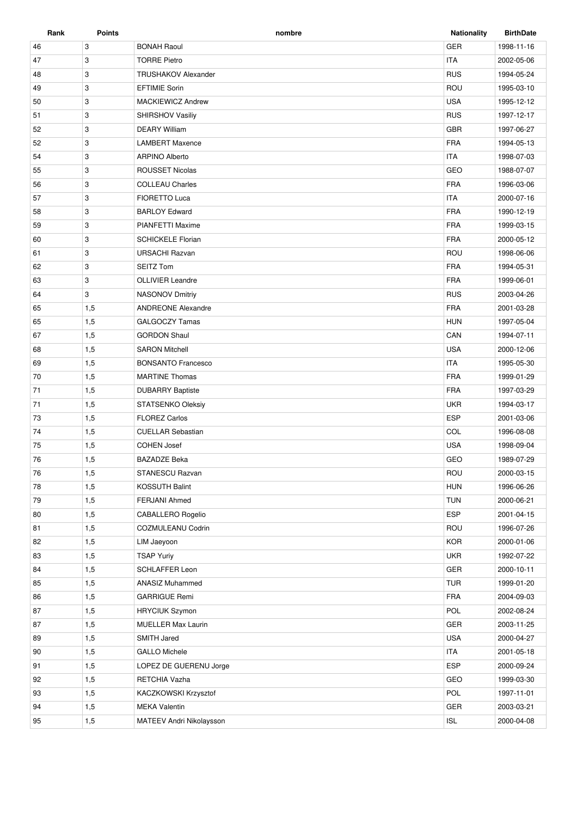| Rank | <b>Points</b> | nombre                     | <b>Nationality</b> | <b>BirthDate</b> |
|------|---------------|----------------------------|--------------------|------------------|
| 46   | 3             | <b>BONAH Raoul</b>         | <b>GER</b>         | 1998-11-16       |
| 47   | 3             | <b>TORRE Pietro</b>        | <b>ITA</b>         | 2002-05-06       |
| 48   | 3             | <b>TRUSHAKOV Alexander</b> | <b>RUS</b>         | 1994-05-24       |
| 49   | 3             | <b>EFTIMIE Sorin</b>       | ROU                | 1995-03-10       |
| 50   | 3             | <b>MACKIEWICZ Andrew</b>   | <b>USA</b>         | 1995-12-12       |
| 51   | 3             | <b>SHIRSHOV Vasiliy</b>    | <b>RUS</b>         | 1997-12-17       |
| 52   | 3             | <b>DEARY William</b>       | <b>GBR</b>         | 1997-06-27       |
| 52   | 3             | <b>LAMBERT Maxence</b>     | <b>FRA</b>         | 1994-05-13       |
| 54   | 3             | <b>ARPINO Alberto</b>      | <b>ITA</b>         | 1998-07-03       |
| 55   | 3             | <b>ROUSSET Nicolas</b>     | GEO                | 1988-07-07       |
| 56   | 3             | <b>COLLEAU Charles</b>     | <b>FRA</b>         | 1996-03-06       |
| 57   | 3             | FIORETTO Luca              | <b>ITA</b>         | 2000-07-16       |
| 58   | 3             | <b>BARLOY Edward</b>       | <b>FRA</b>         | 1990-12-19       |
| 59   | 3             | <b>PIANFETTI Maxime</b>    | <b>FRA</b>         | 1999-03-15       |
| 60   | 3             | <b>SCHICKELE Florian</b>   | <b>FRA</b>         | 2000-05-12       |
| 61   | 3             | URSACHI Razvan             | ROU                | 1998-06-06       |
| 62   | 3             | <b>SEITZ Tom</b>           | <b>FRA</b>         | 1994-05-31       |
| 63   | 3             | <b>OLLIVIER Leandre</b>    | <b>FRA</b>         | 1999-06-01       |
| 64   | 3             | <b>NASONOV Dmitriy</b>     | <b>RUS</b>         | 2003-04-26       |
| 65   | 1,5           | <b>ANDREONE Alexandre</b>  | <b>FRA</b>         | 2001-03-28       |
| 65   | 1,5           | GALGOCZY Tamas             | <b>HUN</b>         | 1997-05-04       |
| 67   | 1,5           | <b>GORDON Shaul</b>        | CAN                | 1994-07-11       |
| 68   | 1,5           | <b>SARON Mitchell</b>      | <b>USA</b>         | 2000-12-06       |
| 69   | 1,5           | <b>BONSANTO Francesco</b>  | <b>ITA</b>         | 1995-05-30       |
| 70   | 1,5           | <b>MARTINE Thomas</b>      | <b>FRA</b>         | 1999-01-29       |
| 71   | 1,5           | <b>DUBARRY Baptiste</b>    | <b>FRA</b>         | 1997-03-29       |
| 71   | 1,5           | <b>STATSENKO Oleksiy</b>   | <b>UKR</b>         | 1994-03-17       |
| 73   | 1,5           | <b>FLOREZ Carlos</b>       | <b>ESP</b>         | 2001-03-06       |
| 74   | 1,5           | <b>CUELLAR Sebastian</b>   | COL                | 1996-08-08       |
| 75   | 1,5           | <b>COHEN Josef</b>         | <b>USA</b>         | 1998-09-04       |
| 76   | 1,5           | <b>BAZADZE Beka</b>        | GEO                | 1989-07-29       |
| 76   | 1,5           | STANESCU Razvan            | ROU                | 2000-03-15       |
| 78   | 1,5           | KOSSUTH Balint             | <b>HUN</b>         | 1996-06-26       |
| 79   | 1,5           | FERJANI Ahmed              | <b>TUN</b>         | 2000-06-21       |
| 80   | 1,5           | CABALLERO Rogelio          | <b>ESP</b>         | 2001-04-15       |
| 81   | 1,5           | COZMULEANU Codrin          | ROU                | 1996-07-26       |
| 82   | 1,5           | LIM Jaeyoon                | <b>KOR</b>         | 2000-01-06       |
| 83   | 1,5           | <b>TSAP Yuriy</b>          | <b>UKR</b>         | 1992-07-22       |
| 84   | 1,5           | SCHLAFFER Leon             | GER                | 2000-10-11       |
| 85   | 1,5           | <b>ANASIZ Muhammed</b>     | <b>TUR</b>         | 1999-01-20       |
| 86   | 1,5           | <b>GARRIGUE Remi</b>       | <b>FRA</b>         | 2004-09-03       |
| 87   | 1,5           |                            | POL                |                  |
|      |               | <b>HRYCIUK Szymon</b>      |                    | 2002-08-24       |
| 87   | 1,5           | <b>MUELLER Max Laurin</b>  | <b>GER</b>         | 2003-11-25       |
| 89   | 1,5           | SMITH Jared                | <b>USA</b>         | 2000-04-27       |
| 90   | 1,5           | <b>GALLO Michele</b>       | <b>ITA</b>         | 2001-05-18       |
| 91   | 1,5           | LOPEZ DE GUERENU Jorge     | <b>ESP</b>         | 2000-09-24       |
| 92   | 1,5           | RETCHIA Vazha              | GEO                | 1999-03-30       |
| 93   | 1,5           | KACZKOWSKI Krzysztof       | POL                | 1997-11-01       |
| 94   | 1,5           | <b>MEKA Valentin</b>       | <b>GER</b>         | 2003-03-21       |
| 95   | 1,5           | MATEEV Andri Nikolaysson   | <b>ISL</b>         | 2000-04-08       |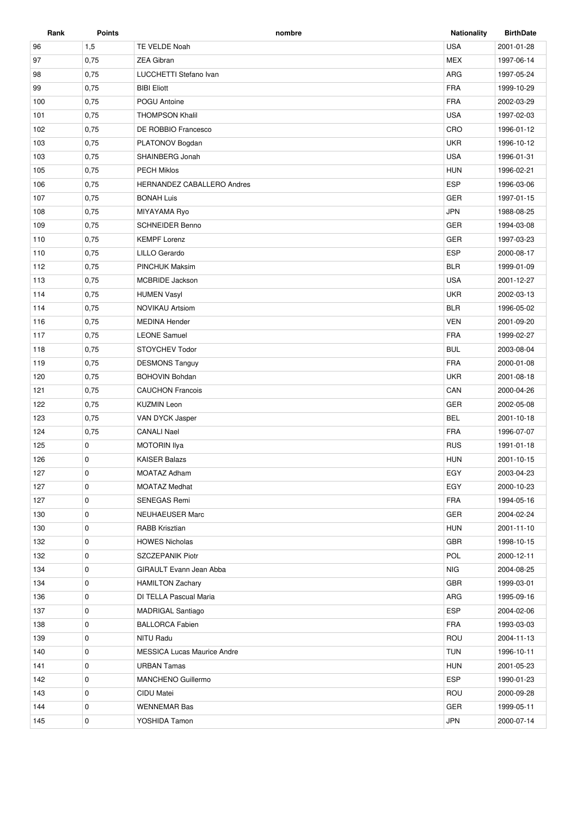| Rank | <b>Points</b> | nombre                             | <b>Nationality</b> | <b>BirthDate</b> |
|------|---------------|------------------------------------|--------------------|------------------|
| 96   | 1,5           | TE VELDE Noah                      | <b>USA</b>         | 2001-01-28       |
| 97   | 0,75          | <b>ZEA Gibran</b>                  | <b>MEX</b>         | 1997-06-14       |
| 98   | 0,75          | LUCCHETTI Stefano Ivan             | <b>ARG</b>         | 1997-05-24       |
| 99   | 0,75          | <b>BIBI Eliott</b>                 | <b>FRA</b>         | 1999-10-29       |
| 100  | 0,75          | POGU Antoine                       | <b>FRA</b>         | 2002-03-29       |
| 101  | 0,75          | <b>THOMPSON Khalil</b>             | <b>USA</b>         | 1997-02-03       |
| 102  | 0,75          | DE ROBBIO Francesco                | CRO                | 1996-01-12       |
| 103  | 0,75          | PLATONOV Bogdan                    | <b>UKR</b>         | 1996-10-12       |
| 103  | 0,75          | SHAINBERG Jonah                    | <b>USA</b>         | 1996-01-31       |
| 105  | 0,75          | <b>PECH Miklos</b>                 | <b>HUN</b>         | 1996-02-21       |
| 106  | 0,75          | HERNANDEZ CABALLERO Andres         | <b>ESP</b>         | 1996-03-06       |
| 107  | 0,75          | <b>BONAH Luis</b>                  | <b>GER</b>         | 1997-01-15       |
| 108  | 0,75          | MIYAYAMA Ryo                       | <b>JPN</b>         | 1988-08-25       |
| 109  | 0,75          | <b>SCHNEIDER Benno</b>             | <b>GER</b>         | 1994-03-08       |
| 110  | 0,75          | <b>KEMPF Lorenz</b>                | <b>GER</b>         | 1997-03-23       |
| 110  | 0,75          | LILLO Gerardo                      | <b>ESP</b>         | 2000-08-17       |
| 112  | 0,75          | <b>PINCHUK Maksim</b>              | <b>BLR</b>         | 1999-01-09       |
| 113  | 0,75          | <b>MCBRIDE Jackson</b>             | <b>USA</b>         | 2001-12-27       |
| 114  | 0,75          | <b>HUMEN Vasyl</b>                 | <b>UKR</b>         | 2002-03-13       |
| 114  | 0,75          | <b>NOVIKAU Artsiom</b>             | <b>BLR</b>         | 1996-05-02       |
| 116  | 0,75          | <b>MEDINA Hender</b>               | <b>VEN</b>         | 2001-09-20       |
| 117  | 0,75          | <b>LEONE Samuel</b>                | <b>FRA</b>         | 1999-02-27       |
| 118  | 0,75          | <b>STOYCHEV Todor</b>              | <b>BUL</b>         | 2003-08-04       |
| 119  | 0,75          | <b>DESMONS Tanguy</b>              | <b>FRA</b>         | 2000-01-08       |
| 120  | 0,75          | <b>BOHOVIN Bohdan</b>              | <b>UKR</b>         | 2001-08-18       |
| 121  | 0,75          | <b>CAUCHON Francois</b>            | CAN                | 2000-04-26       |
| 122  | 0,75          | <b>KUZMIN Leon</b>                 | GER                | 2002-05-08       |
| 123  | 0,75          | VAN DYCK Jasper                    | <b>BEL</b>         | 2001-10-18       |
| 124  | 0,75          | <b>CANALI Nael</b>                 | <b>FRA</b>         | 1996-07-07       |
| 125  | 0             | MOTORIN Ilya                       | <b>RUS</b>         | 1991-01-18       |
| 126  | $\mathbf 0$   | <b>KAISER Balazs</b>               | <b>HUN</b>         | 2001-10-15       |
| 127  | $\mathbf 0$   | MOATAZ Adham                       | EGY                | 2003-04-23       |
| 127  | 0             | <b>MOATAZ Medhat</b>               | EGY                | 2000-10-23       |
| 127  | 0             | <b>SENEGAS Remi</b>                | <b>FRA</b>         | 1994-05-16       |
| 130  | 0             | NEUHAEUSER Marc                    | GER                | 2004-02-24       |
| 130  | 0             | <b>RABB Krisztian</b>              | <b>HUN</b>         | 2001-11-10       |
| 132  | 0             | <b>HOWES Nicholas</b>              | <b>GBR</b>         | 1998-10-15       |
| 132  | 0             | SZCZEPANIK Piotr                   | POL                | 2000-12-11       |
| 134  | $\mathbf 0$   | GIRAULT Evann Jean Abba            | <b>NIG</b>         | 2004-08-25       |
| 134  | 0             | <b>HAMILTON Zachary</b>            | <b>GBR</b>         | 1999-03-01       |
| 136  | 0             | DI TELLA Pascual Maria             | ARG                | 1995-09-16       |
| 137  | $\mathbf 0$   | <b>MADRIGAL Santiago</b>           | <b>ESP</b>         | 2004-02-06       |
| 138  | $\mathbf 0$   | <b>BALLORCA Fabien</b>             | <b>FRA</b>         | 1993-03-03       |
| 139  | 0             | NITU Radu                          | ROU                | 2004-11-13       |
| 140  | 0             | <b>MESSICA Lucas Maurice Andre</b> | <b>TUN</b>         | 1996-10-11       |
| 141  | 0             | <b>URBAN Tamas</b>                 | <b>HUN</b>         | 2001-05-23       |
| 142  | 0             | MANCHENO Guillermo                 | <b>ESP</b>         | 1990-01-23       |
| 143  | 0             | CIDU Matei                         | ROU                | 2000-09-28       |
| 144  | 0             | <b>WENNEMAR Bas</b>                | <b>GER</b>         | 1999-05-11       |
| 145  | $\mathbf 0$   | YOSHIDA Tamon                      | <b>JPN</b>         | 2000-07-14       |
|      |               |                                    |                    |                  |